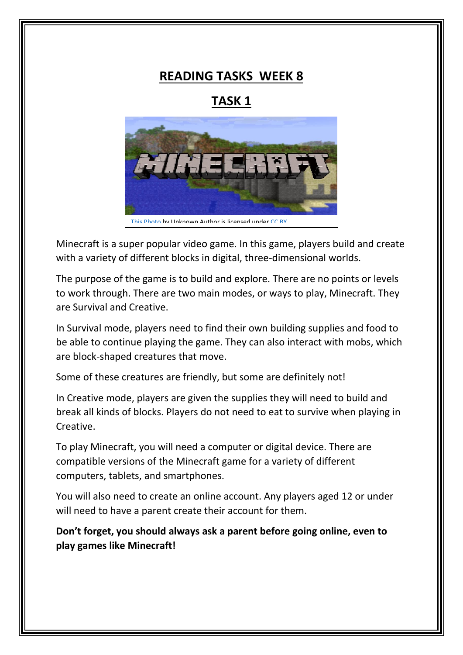## **READING TASKS WEEK 8**

# **TASK 1**



Minecraft is a super popular video game. In this game, players build and create with a variety of different blocks in digital, three-dimensional worlds.

The purpose of the game is to build and explore. There are no points or levels to work through. There are two main modes, or ways to play, Minecraft. They are Survival and Creative.

In Survival mode, players need to find their own building supplies and food to be able to continue playing the game. They can also interact with mobs, which are block-shaped creatures that move.

Some of these creatures are friendly, but some are definitely not!

In Creative mode, players are given the supplies they will need to build and break all kinds of blocks. Players do not need to eat to survive when playing in Creative.

To play Minecraft, you will need a computer or digital device. There are compatible versions of the Minecraft game for a variety of different computers, tablets, and smartphones.

You will also need to create an online account. Any players aged 12 or under will need to have a parent create their account for them.

**Don't forget, you should always ask a parent before going online, even to play games like Minecraft!**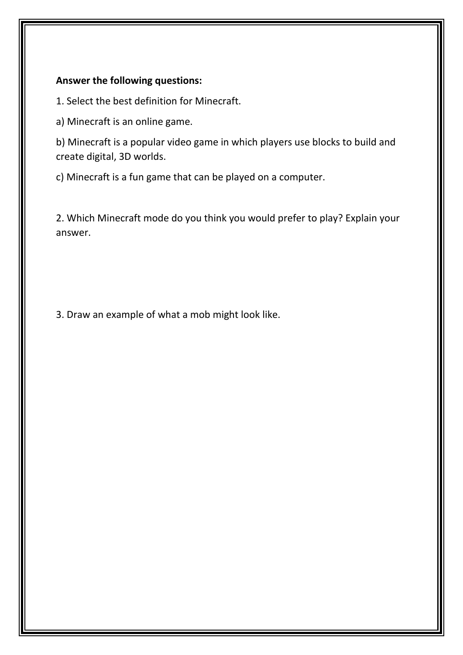### **Answer the following questions:**

1. Select the best definition for Minecraft.

a) Minecraft is an online game.

b) Minecraft is a popular video game in which players use blocks to build and create digital, 3D worlds.

c) Minecraft is a fun game that can be played on a computer.

2. Which Minecraft mode do you think you would prefer to play? Explain your answer.

3. Draw an example of what a mob might look like.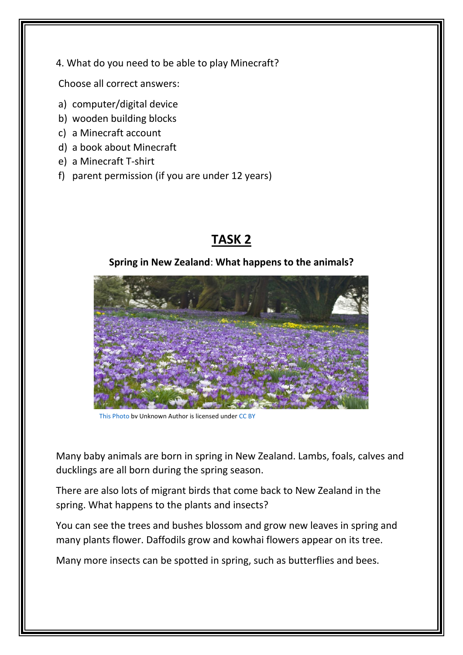4. What do you need to be able to play Minecraft?

Choose all correct answers:

- a) computer/digital device
- b) wooden building blocks
- c) a Minecraft account
- d) a book about Minecraft
- e) a Minecraft T-shirt
- f) parent permission (if you are under 12 years)

# **TASK 2**

## **Spring in New Zealand**: **What happens to the animals?**



[This Photo](https://easterstockphotos.com/free_images/flowers/slides/beautiful_crocuses.htm) by Unknown Author is licensed unde[r CC BY](https://creativecommons.org/licenses/by/3.0/)

Many baby animals are born in spring in New Zealand. Lambs, foals, calves and ducklings are all born during the spring season.

There are also lots of migrant birds that come back to New Zealand in the spring. What happens to the plants and insects?

You can see the trees and bushes blossom and grow new leaves in spring and many plants flower. Daffodils grow and kowhai flowers appear on its tree.

Many more insects can be spotted in spring, such as butterflies and bees.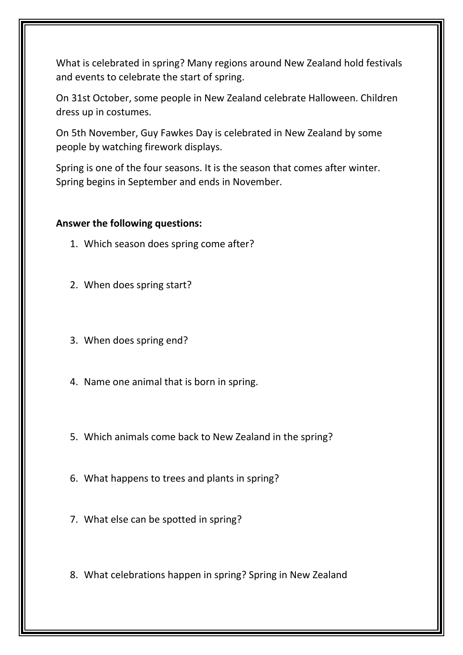What is celebrated in spring? Many regions around New Zealand hold festivals and events to celebrate the start of spring.

On 31st October, some people in New Zealand celebrate Halloween. Children dress up in costumes.

On 5th November, Guy Fawkes Day is celebrated in New Zealand by some people by watching firework displays.

Spring is one of the four seasons. It is the season that comes after winter. Spring begins in September and ends in November.

#### **Answer the following questions:**

- 1. Which season does spring come after?
- 2. When does spring start?
- 3. When does spring end?
- 4. Name one animal that is born in spring.
- 5. Which animals come back to New Zealand in the spring?
- 6. What happens to trees and plants in spring?
- 7. What else can be spotted in spring?
- 8. What celebrations happen in spring? Spring in New Zealand